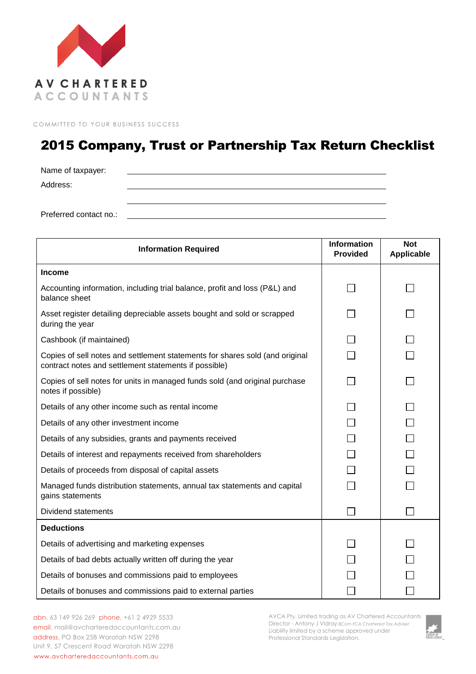

COMMITTED TO YOUR BUSINESS SUCCESS

## 2015 Company, Trust or Partnership Tax Return Checklist

Name of taxpayer: Address: Preferred contact no.:

| <b>Information Required</b>                                                                                                           | <b>Information</b><br><b>Provided</b> | <b>Not</b><br><b>Applicable</b> |
|---------------------------------------------------------------------------------------------------------------------------------------|---------------------------------------|---------------------------------|
| <b>Income</b>                                                                                                                         |                                       |                                 |
| Accounting information, including trial balance, profit and loss (P&L) and<br>balance sheet                                           |                                       |                                 |
| Asset register detailing depreciable assets bought and sold or scrapped<br>during the year                                            |                                       |                                 |
| Cashbook (if maintained)                                                                                                              |                                       |                                 |
| Copies of sell notes and settlement statements for shares sold (and original<br>contract notes and settlement statements if possible) |                                       |                                 |
| Copies of sell notes for units in managed funds sold (and original purchase<br>notes if possible)                                     |                                       |                                 |
| Details of any other income such as rental income                                                                                     |                                       |                                 |
| Details of any other investment income                                                                                                |                                       |                                 |
| Details of any subsidies, grants and payments received                                                                                |                                       |                                 |
| Details of interest and repayments received from shareholders                                                                         |                                       |                                 |
| Details of proceeds from disposal of capital assets                                                                                   |                                       |                                 |
| Managed funds distribution statements, annual tax statements and capital<br>gains statements                                          |                                       |                                 |
| Dividend statements                                                                                                                   |                                       |                                 |
| <b>Deductions</b>                                                                                                                     |                                       |                                 |
| Details of advertising and marketing expenses                                                                                         |                                       |                                 |
| Details of bad debts actually written off during the year                                                                             |                                       |                                 |
| Details of bonuses and commissions paid to employees                                                                                  |                                       |                                 |
| Details of bonuses and commissions paid to external parties                                                                           |                                       |                                 |

abn. 63 149 926 269 phone. +61 2 4929 5533 email. mail@avcharteredaccountants.com.au address. PO Box 258 Waratah NSW 2298 Unit 9, 57 Crescent Road Waratah NSW 2298 www.avcharteredaccountants.com.au

AVCA Pty. Limited trading as AV Chartered Accountants Director - Antony J Vidray *BCom FCA Chartered Tax Adviser* Liability limited by a scheme approved under Professional Standards Legislation.

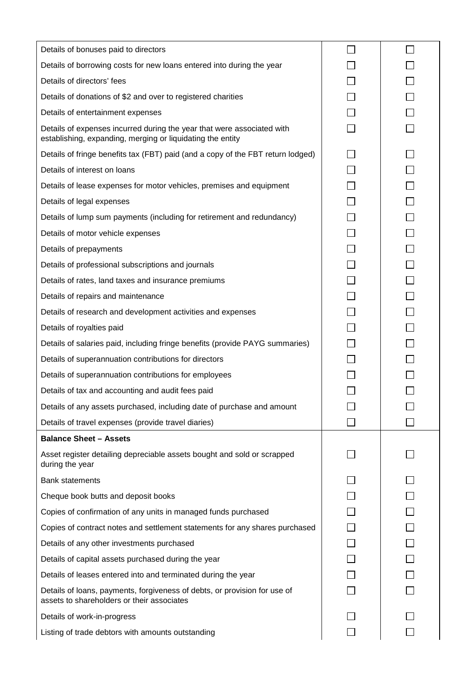| Details of bonuses paid to directors                                                                                                 |  |
|--------------------------------------------------------------------------------------------------------------------------------------|--|
| Details of borrowing costs for new loans entered into during the year                                                                |  |
| Details of directors' fees                                                                                                           |  |
| Details of donations of \$2 and over to registered charities                                                                         |  |
| Details of entertainment expenses                                                                                                    |  |
| Details of expenses incurred during the year that were associated with<br>establishing, expanding, merging or liquidating the entity |  |
| Details of fringe benefits tax (FBT) paid (and a copy of the FBT return lodged)                                                      |  |
| Details of interest on loans                                                                                                         |  |
| Details of lease expenses for motor vehicles, premises and equipment                                                                 |  |
| Details of legal expenses                                                                                                            |  |
| Details of lump sum payments (including for retirement and redundancy)                                                               |  |
| Details of motor vehicle expenses                                                                                                    |  |
| Details of prepayments                                                                                                               |  |
| Details of professional subscriptions and journals                                                                                   |  |
| Details of rates, land taxes and insurance premiums                                                                                  |  |
| Details of repairs and maintenance                                                                                                   |  |
| Details of research and development activities and expenses                                                                          |  |
| Details of royalties paid                                                                                                            |  |
| Details of salaries paid, including fringe benefits (provide PAYG summaries)                                                         |  |
| Details of superannuation contributions for directors                                                                                |  |
| Details of superannuation contributions for employees                                                                                |  |
| Details of tax and accounting and audit fees paid                                                                                    |  |
| Details of any assets purchased, including date of purchase and amount                                                               |  |
| Details of travel expenses (provide travel diaries)                                                                                  |  |
| <b>Balance Sheet - Assets</b>                                                                                                        |  |
| Asset register detailing depreciable assets bought and sold or scrapped<br>during the year                                           |  |
| <b>Bank statements</b>                                                                                                               |  |
| Cheque book butts and deposit books                                                                                                  |  |
| Copies of confirmation of any units in managed funds purchased                                                                       |  |
| Copies of contract notes and settlement statements for any shares purchased                                                          |  |
| Details of any other investments purchased                                                                                           |  |
| Details of capital assets purchased during the year                                                                                  |  |
| Details of leases entered into and terminated during the year                                                                        |  |
| Details of loans, payments, forgiveness of debts, or provision for use of<br>assets to shareholders or their associates              |  |
| Details of work-in-progress                                                                                                          |  |
| Listing of trade debtors with amounts outstanding                                                                                    |  |